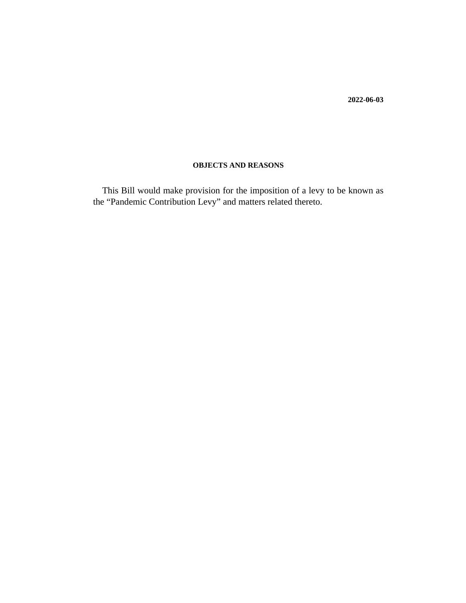**2022-06-03**

#### **OBJECTS AND REASONS**

This Bill would make provision for the imposition of a levy to be known as the "Pandemic Contribution Levy" and matters related thereto.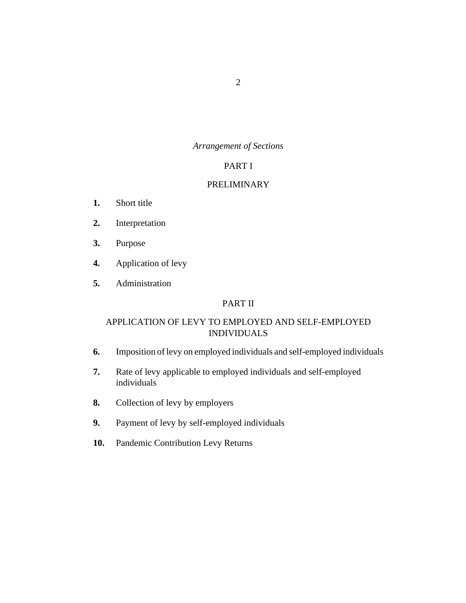## *Arrangement of Sections*

### PART I

### [PRELIMINARY](#page-5-0)

- [Short title](#page-5-0) **1.**
- [Interpretation](#page-5-0) **2.**
- [Purpose](#page-7-0) **3.**
- [Application of levy](#page-7-0) **4.**
- [Administration](#page-8-0) **5.**

# PART II

# [APPLICATION OF LEVY TO EMPLOYED AND SELF-EMPLOYED](#page-8-0) INDIVIDUALS

- [Imposition of levy on employed individuals and self-employed individuals](#page-8-0) **6.**
- [Rate of levy applicable to employed individuals and self-employed](#page-9-0) individuals **7.**
- [Collection of levy by employers](#page-9-0) **8.**
- [Payment of levy by self-employed individuals](#page-10-0) **9.**
- [Pandemic Contribution Levy Returns](#page-10-0) **10.**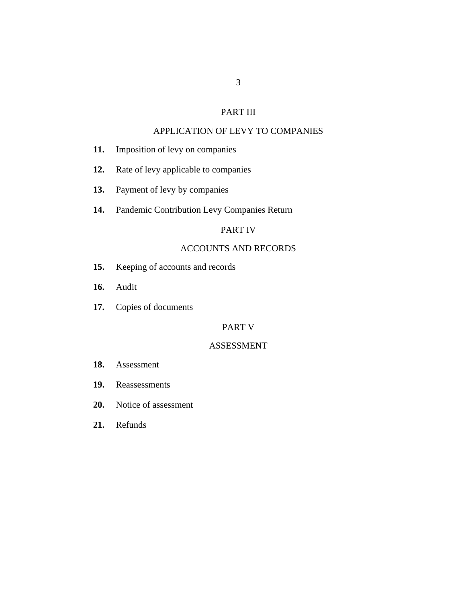# PART III

### [APPLICATION OF LEVY TO COMPANIES](#page-11-0)

- [Imposition of levy on companies](#page-11-0) **11.**
- [Rate of levy applicable to companies](#page-11-0) **12.**
- [Payment of levy by companies](#page-11-0) **13.**
- [Pandemic Contribution Levy Companies Return](#page-12-0) **14.**

### PART IV

### [ACCOUNTS AND RECORDS](#page-12-0)

- [Keeping of accounts and records](#page-12-0) **15.**
- [Audit](#page-13-0) **16.**
- [Copies of documents](#page-15-0) **17.**

## PART V

#### [ASSESSMENT](#page-15-0)

- [Assessment](#page-15-0) **18.**
- [Reassessments](#page-16-0) **19.**
- [Notice of assessment](#page-17-0) **20.**
- [Refunds](#page-17-0) **21.**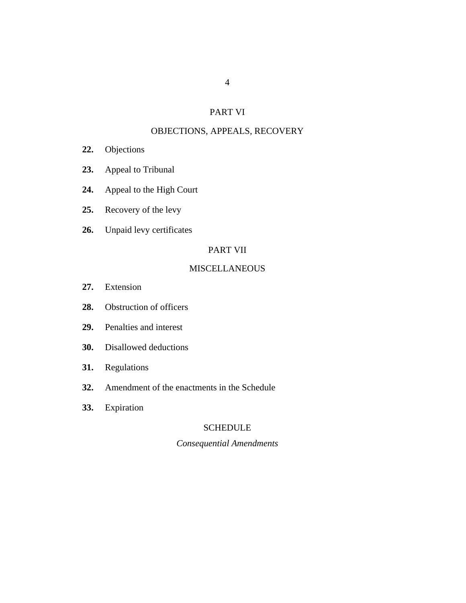### PART VI

## [OBJECTIONS, APPEALS, RECOVERY](#page-18-0)

- [Objections](#page-18-0) **22.**
- [Appeal to Tribunal](#page-19-0) **23.**
- [Appeal to the High Court](#page-20-0) **24.**
- [Recovery of the levy](#page-21-0) **25.**
- [Unpaid levy certificates](#page-21-0) **26.**

### PART VII

### **[MISCELLANEOUS](#page-22-0)**

- [Extension](#page-22-0) **27.**
- [Obstruction of officers](#page-23-0) **28.**
- [Penalties and interest](#page-23-0) **29.**
- [Disallowed deductions](#page-24-0) **30.**
- [Regulations](#page-24-0) **31.**
- [Amendment of the enactments in the Schedule](#page-24-0) **32.**
- [Expiration](#page-24-0) **33.**

# SCHEDULE

# *Consequential Amendments*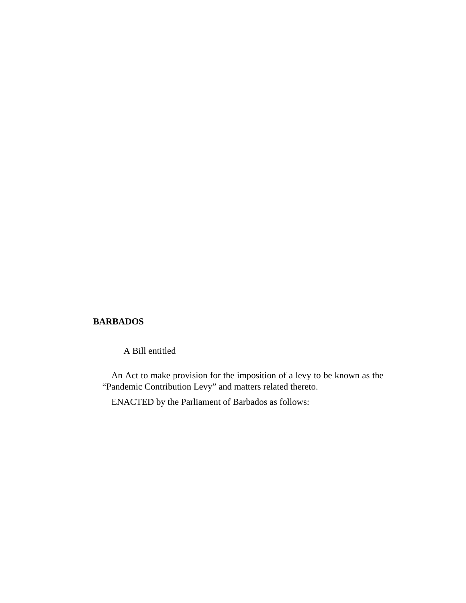### **BARBADOS**

A Bill entitled

An Act to make provision for the imposition of a levy to be known as the "Pandemic Contribution Levy" and matters related thereto.

ENACTED by the Parliament of Barbados as follows: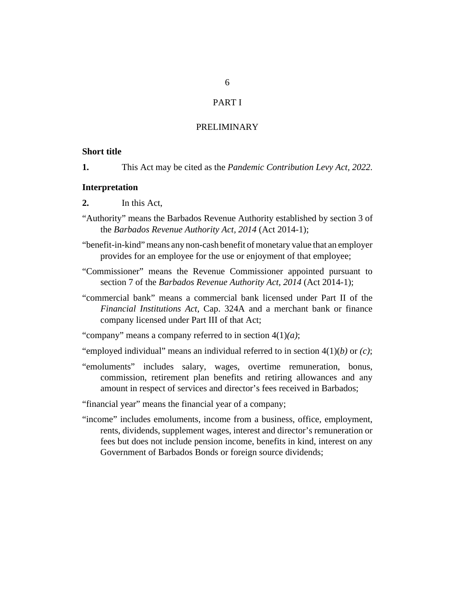### PART I

### PRELIMINARY

#### <span id="page-5-0"></span>**Short title**

This Act may be cited as the *Pandemic Contribution Levy Act, 2022*. **1.**

#### **Interpretation**

- In this Act, **2.**
- "Authority" means the Barbados Revenue Authority established by section 3 of the *[Barbados Revenue Authority Act, 2014](http://barbadosparliament-laws.com/en/showdoc/cs/2014_1)* (Act 2014-1);
- "benefit-in-kind" means any non-cash benefit of monetary value that an employer provides for an employee for the use or enjoyment of that employee;
- "Commissioner" means the Revenue Commissioner appointed pursuant to section 7 of the *[Barbados Revenue Authority Act, 2014](http://barbadosparliament-laws.com/en/showdoc/cs/2014_1)* (Act 2014-1);
- "commercial bank" means a commercial bank licensed under Part II of the *[Financial Institutions Act](http://barbadosparliament-laws.com/en/showdoc/cs/324A)*, Cap. 324A and a merchant bank or finance company licensed under Part III of that Act;

"company" means a company referred to in section 4(1)*(a)*;

"employed individual" means an individual referred to in section 4(1)(*b)* or *(c)*;

"emoluments" includes salary, wages, overtime remuneration, bonus, commission, retirement plan benefits and retiring allowances and any amount in respect of services and director's fees received in Barbados;

"financial year" means the financial year of a company;

"income" includes emoluments, income from a business, office, employment, rents, dividends, supplement wages, interest and director's remuneration or fees but does not include pension income, benefits in kind, interest on any Government of Barbados Bonds or foreign source dividends;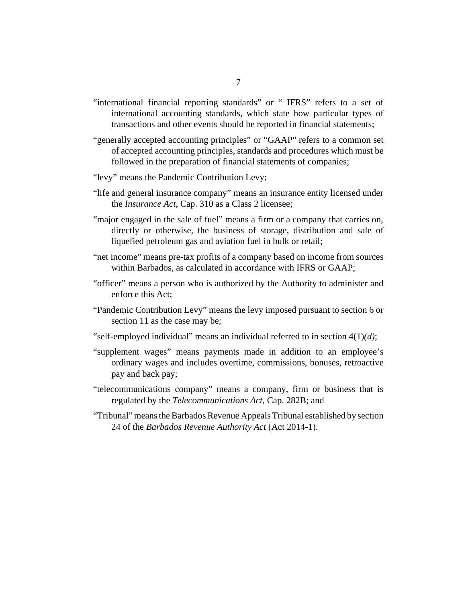- "international financial reporting standards" or " IFRS" refers to a set of international accounting standards, which state how particular types of transactions and other events should be reported in financial statements;
- "generally accepted accounting principles" or "GAAP" refers to a common set of accepted accounting principles, standards and procedures which must be followed in the preparation of financial statements of companies;
- "levy" means the Pandemic Contribution Levy;
- "life and general insurance company" means an insurance entity licensed under the *[Insurance Act](http://barbadosparliament-laws.com/en/showdoc/cs/310)*, Cap. 310 as a Class 2 licensee;
- "major engaged in the sale of fuel" means a firm or a company that carries on, directly or otherwise, the business of storage, distribution and sale of liquefied petroleum gas and aviation fuel in bulk or retail;
- "net income" means pre-tax profits of a company based on income from sources within Barbados, as calculated in accordance with IFRS or GAAP;
- "officer" means a person who is authorized by the Authority to administer and enforce this Act;
- "Pandemic Contribution Levy" means the levy imposed pursuant to section 6 or section 11 as the case may be;
- "self-employed individual" means an individual referred to in section 4(1)*(d)*;
- "supplement wages" means payments made in addition to an employee's ordinary wages and includes overtime, commissions, bonuses, retroactive pay and back pay;
- "telecommunications company" means a company, firm or business that is regulated by the *[Telecommunications Act](http://barbadosparliament-laws.com/en/showdoc/cs/282B)*, Cap. 282B; and
- "Tribunal" means the Barbados Revenue Appeals Tribunal established by section 24 of the *[Barbados Revenue Authority Act](http://barbadosparliament-laws.com/en/showdoc/cs/2014_1)* (Act 2014-1).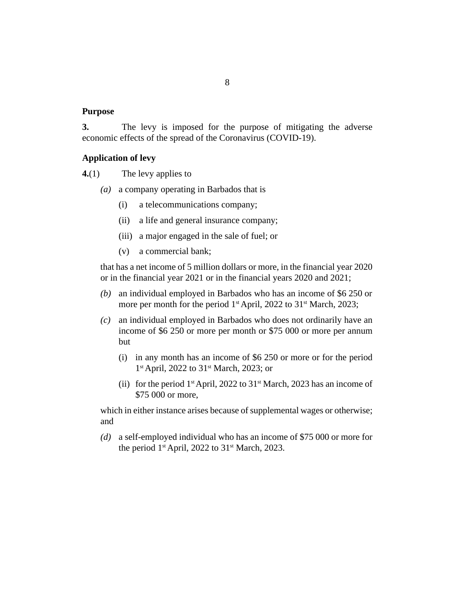#### <span id="page-7-0"></span>**Purpose**

The levy is imposed for the purpose of mitigating the adverse economic effects of the spread of the Coronavirus (COVID-19). **3.**

#### **Application of levy**

The levy applies to **4.**(1)

- a company operating in Barbados that is *(a)*
	- a telecommunications company; (i)
	- a life and general insurance company; (ii)
	- (iii) a major engaged in the sale of fuel; or
	- a commercial bank; (v)

that has a net income of 5 million dollars or more, in the financial year 2020 or in the financial year 2021 or in the financial years 2020 and 2021;

- an individual employed in Barbados who has an income of \$6 250 or *(b)* more per month for the period 1<sup>st</sup> April, 2022 to 31<sup>st</sup> March, 2023;
- an individual employed in Barbados who does not ordinarily have an *(c)* income of \$6 250 or more per month or \$75 000 or more per annum but
	- in any month has an income of \$6 250 or more or for the period (i) 1<sup>st</sup> April, 2022 to 31<sup>st</sup> March, 2023; or
	- (ii) for the period  $1<sup>st</sup>$  April, 2022 to  $31<sup>st</sup>$  March, 2023 has an income of \$75 000 or more,

which in either instance arises because of supplemental wages or otherwise; and

a self-employed individual who has an income of \$75 000 or more for *(d)* the period  $1<sup>st</sup>$  April, 2022 to  $31<sup>st</sup>$  March, 2023.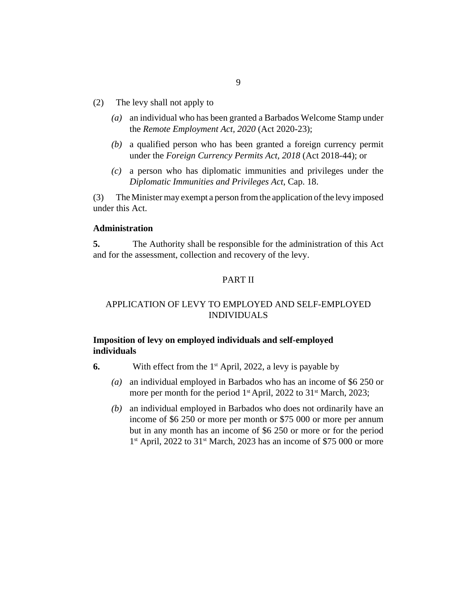- <span id="page-8-0"></span>The levy shall not apply to (2)
	- an individual who has been granted a Barbados Welcome Stamp under *(a)* the *[Remote Employment Act, 2020](http://barbadosparliament-laws.com/en/showdoc/cs/2020_23)* (Act 2020-23);
	- a qualified person who has been granted a foreign currency permit *(b)* under the *[Foreign Currency Permits Act, 2018](http://barbadosparliament-laws.com/en/showdoc/cs/2018_44)* (Act 2018-44); or
	- a person who has diplomatic immunities and privileges under the *(c) [Diplomatic Immunities and Privileges Act](http://barbadosparliament-laws.com/en/showdoc/cs/18)*, Cap. 18.

The Minister may exempt a person from the application of the levy imposed under this Act. (3)

#### **Administration**

The Authority shall be responsible for the administration of this Act and for the assessment, collection and recovery of the levy. **5.**

### PART II

### APPLICATION OF LEVY TO EMPLOYED AND SELF-EMPLOYED INDIVIDUALS

### **Imposition of levy on employed individuals and self-employed individuals**

- With effect from the  $1<sup>st</sup>$  April, 2022, a levy is payable by **6.**
	- an individual employed in Barbados who has an income of \$6 250 or *(a)* more per month for the period 1<sup>st</sup> April, 2022 to 31<sup>st</sup> March, 2023;
	- an individual employed in Barbados who does not ordinarily have an *(b)* income of \$6 250 or more per month or \$75 000 or more per annum but in any month has an income of \$6 250 or more or for the period 1<sup>st</sup> April, 2022 to 31<sup>st</sup> March, 2023 has an income of \$75 000 or more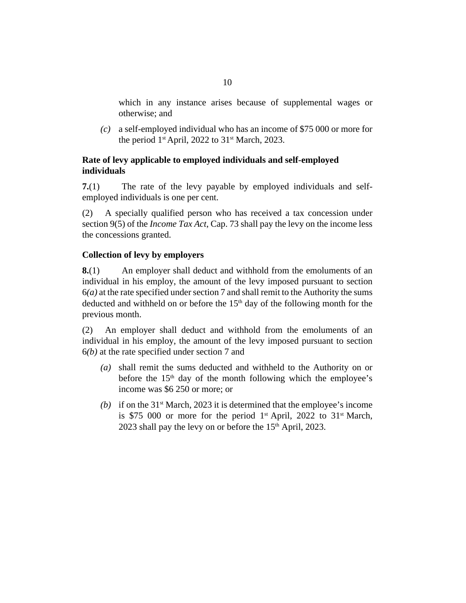<span id="page-9-0"></span>which in any instance arises because of supplemental wages or otherwise; and

a self-employed individual who has an income of \$75 000 or more for *(c)* the period 1<sup>st</sup> April, 2022 to 31<sup>st</sup> March, 2023.

# **Rate of levy applicable to employed individuals and self-employed individuals**

The rate of the levy payable by employed individuals and selfemployed individuals is one per cent. **7.**(1)

A specially qualified person who has received a tax concession under section 9(5) of the *[Income Tax Act](http://barbadosparliament-laws.com/en/showdoc/cs/73)*, Cap. 73 shall pay the levy on the income less the concessions granted. (2)

## **Collection of levy by employers**

An employer shall deduct and withhold from the emoluments of an individual in his employ, the amount of the levy imposed pursuant to section  $6(a)$  at the rate specified under section 7 and shall remit to the Authority the sums deducted and withheld on or before the  $15<sup>th</sup>$  day of the following month for the previous month. **8.**(1)

An employer shall deduct and withhold from the emoluments of an individual in his employ, the amount of the levy imposed pursuant to section 6*(b)* at the rate specified under section 7 and (2)

- shall remit the sums deducted and withheld to the Authority on or *(a)* before the  $15<sup>th</sup>$  day of the month following which the employee's income was \$6 250 or more; or
- (b) if on the  $31<sup>st</sup>$  March, 2023 it is determined that the employee's income is \$75 000 or more for the period  $1<sup>st</sup>$  April, 2022 to 31<sup>st</sup> March, 2023 shall pay the levy on or before the 15<sup>th</sup> April, 2023.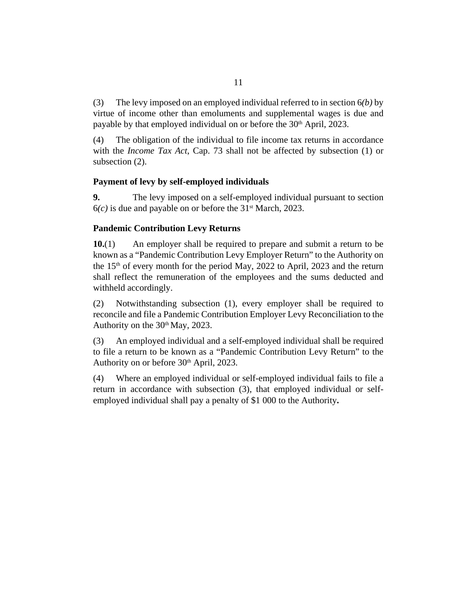<span id="page-10-0"></span>The levy imposed on an employed individual referred to in section 6*(b)* by virtue of income other than emoluments and supplemental wages is due and payable by that employed individual on or before the 30<sup>th</sup> April, 2023. (3)

The obligation of the individual to file income tax returns in accordance with the *[Income Tax Act](http://barbadosparliament-laws.com/en/showdoc/cs/73)*, Cap. 73 shall not be affected by subsection (1) or subsection (2). (4)

### **Payment of levy by self-employed individuals**

The levy imposed on a self-employed individual pursuant to section  $6(c)$  is due and payable on or before the 31<sup>st</sup> March, 2023. **9.**

## **Pandemic Contribution Levy Returns**

An employer shall be required to prepare and submit a return to be known as a "Pandemic Contribution Levy Employer Return" to the Authority on the  $15<sup>th</sup>$  of every month for the period May, 2022 to April, 2023 and the return shall reflect the remuneration of the employees and the sums deducted and withheld accordingly. **10.**(1)

Notwithstanding subsection (1), every employer shall be required to reconcile and file a Pandemic Contribution Employer Levy Reconciliation to the Authority on the 30<sup>th</sup> May, 2023. (2)

An employed individual and a self-employed individual shall be required to file a return to be known as a "Pandemic Contribution Levy Return" to the Authority on or before 30<sup>th</sup> April, 2023. (3)

Where an employed individual or self-employed individual fails to file a return in accordance with subsection (3), that employed individual or selfemployed individual shall pay a penalty of \$1 000 to the Authority**.** (4)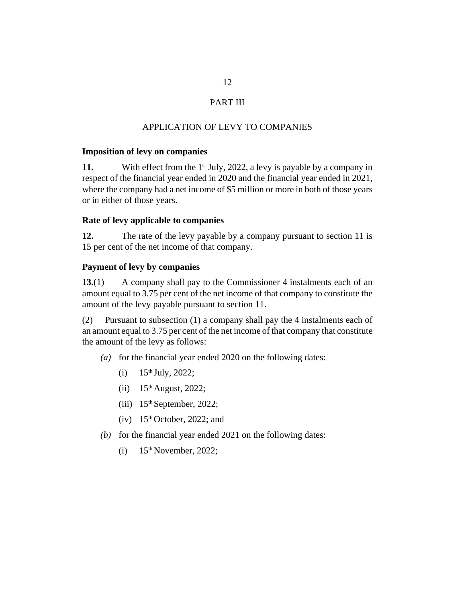# PART III

## APPLICATION OF LEVY TO COMPANIES

#### <span id="page-11-0"></span>**Imposition of levy on companies**

With effect from the  $1<sup>st</sup>$  July, 2022, a levy is payable by a company in respect of the financial year ended in 2020 and the financial year ended in 2021, where the company had a net income of \$5 million or more in both of those years or in either of those years. **11.**

### **Rate of levy applicable to companies**

The rate of the levy payable by a company pursuant to section 11 is 15 per cent of the net income of that company. **12.**

### **Payment of levy by companies**

A company shall pay to the Commissioner 4 instalments each of an amount equal to 3.75 per cent of the net income of that company to constitute the amount of the levy payable pursuant to section 11. **13.**(1)

Pursuant to subsection (1) a company shall pay the 4 instalments each of an amount equal to 3.75 per cent of the net income of that company that constitute the amount of the levy as follows: (2)

- (a) for the financial year ended 2020 on the following dates:
	- 15th July, 2022; (i)
	- $(ii)$  15<sup>th</sup> August, 2022;
	- $(iii)$  15<sup>th</sup> September, 2022;
	- $(iv)$  15<sup>th</sup> October, 2022; and
- (b) for the financial year ended  $2021$  on the following dates:
	- 15th November, 2022; (i)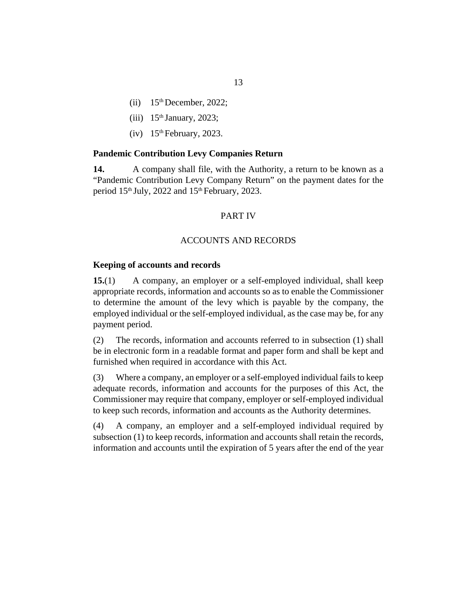- <span id="page-12-0"></span> $(ii)$  15<sup>th</sup> December, 2022;
- $(iii)$  15<sup>th</sup> January, 2023;
- $(iv)$  15<sup>th</sup> February, 2023.

#### **Pandemic Contribution Levy Companies Return**

A company shall file, with the Authority, a return to be known as a "Pandemic Contribution Levy Company Return" on the payment dates for the period  $15<sup>th</sup>$  July, 2022 and  $15<sup>th</sup>$  February, 2023. **14.**

#### PART IV

#### ACCOUNTS AND RECORDS

#### **Keeping of accounts and records**

A company, an employer or a self-employed individual, shall keep appropriate records, information and accounts so as to enable the Commissioner to determine the amount of the levy which is payable by the company, the employed individual or the self-employed individual, as the case may be, for any payment period. **15.**(1)

The records, information and accounts referred to in subsection (1) shall be in electronic form in a readable format and paper form and shall be kept and furnished when required in accordance with this Act. (2)

Where a company, an employer or a self-employed individual fails to keep adequate records, information and accounts for the purposes of this Act, the Commissioner may require that company, employer or self-employed individual to keep such records, information and accounts as the Authority determines. (3)

A company, an employer and a self-employed individual required by subsection (1) to keep records, information and accounts shall retain the records, information and accounts until the expiration of 5 years after the end of the year (4)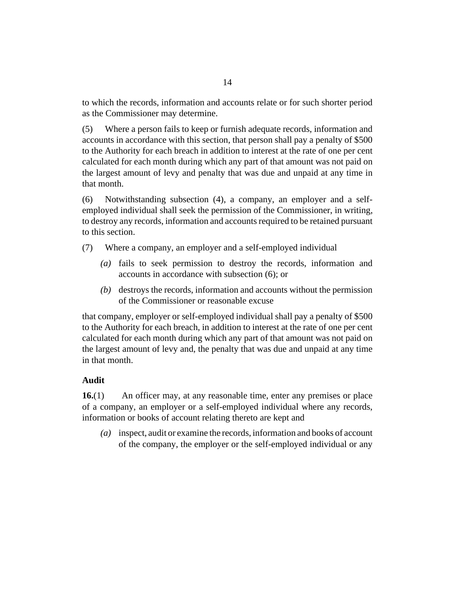<span id="page-13-0"></span>to which the records, information and accounts relate or for such shorter period as the Commissioner may determine.

Where a person fails to keep or furnish adequate records, information and accounts in accordance with this section, that person shall pay a penalty of \$500 to the Authority for each breach in addition to interest at the rate of one per cent calculated for each month during which any part of that amount was not paid on the largest amount of levy and penalty that was due and unpaid at any time in that month. (5)

Notwithstanding subsection (4), a company, an employer and a selfemployed individual shall seek the permission of the Commissioner, in writing, to destroy any records, information and accounts required to be retained pursuant to this section. (6)

Where a company, an employer and a self-employed individual (7)

- (a) fails to seek permission to destroy the records, information and accounts in accordance with subsection (6); or
- destroys the records, information and accounts without the permission *(b)* of the Commissioner or reasonable excuse

that company, employer or self-employed individual shall pay a penalty of \$500 to the Authority for each breach, in addition to interest at the rate of one per cent calculated for each month during which any part of that amount was not paid on the largest amount of levy and, the penalty that was due and unpaid at any time in that month.

# **Audit**

An officer may, at any reasonable time, enter any premises or place of a company, an employer or a self-employed individual where any records, information or books of account relating thereto are kept and **16.**(1)

inspect, audit or examine the records, information and books of account *(a)* of the company, the employer or the self-employed individual or any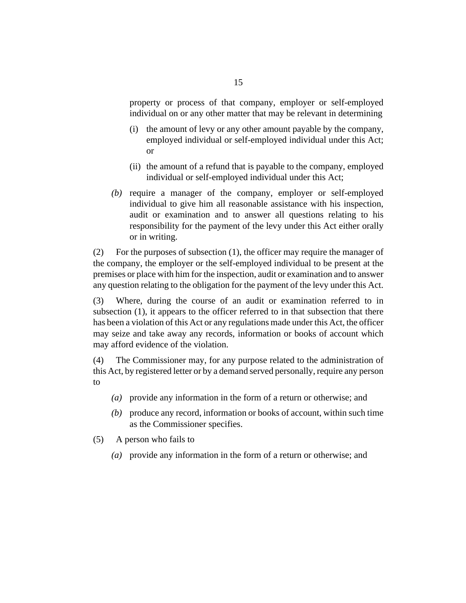property or process of that company, employer or self-employed individual on or any other matter that may be relevant in determining

- (i) the amount of levy or any other amount payable by the company, employed individual or self-employed individual under this Act; or
- (ii) the amount of a refund that is payable to the company, employed individual or self-employed individual under this Act;
- (b) require a manager of the company, employer or self-employed individual to give him all reasonable assistance with his inspection, audit or examination and to answer all questions relating to his responsibility for the payment of the levy under this Act either orally or in writing.

For the purposes of subsection (1), the officer may require the manager of the company, the employer or the self-employed individual to be present at the premises or place with him for the inspection, audit or examination and to answer any question relating to the obligation for the payment of the levy under this Act. (2)

Where, during the course of an audit or examination referred to in subsection (1), it appears to the officer referred to in that subsection that there has been a violation of this Act or any regulations made under this Act, the officer may seize and take away any records, information or books of account which may afford evidence of the violation. (3)

The Commissioner may, for any purpose related to the administration of this Act, by registered letter or by a demand served personally, require any person to (4)

- provide any information in the form of a return or otherwise; and *(a)*
- produce any record, information or books of account, within such time *(b)* as the Commissioner specifies.
- A person who fails to (5)
	- provide any information in the form of a return or otherwise; and *(a)*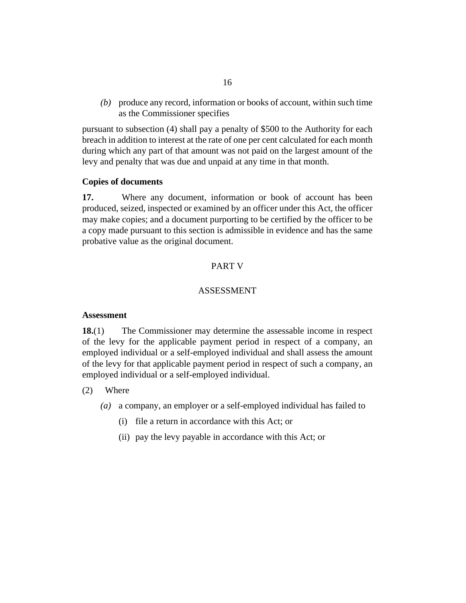<span id="page-15-0"></span>produce any record, information or books of account, within such time *(b)* as the Commissioner specifies

pursuant to subsection (4) shall pay a penalty of \$500 to the Authority for each breach in addition to interest at the rate of one per cent calculated for each month during which any part of that amount was not paid on the largest amount of the levy and penalty that was due and unpaid at any time in that month.

#### **Copies of documents**

Where any document, information or book of account has been produced, seized, inspected or examined by an officer under this Act, the officer may make copies; and a document purporting to be certified by the officer to be a copy made pursuant to this section is admissible in evidence and has the same probative value as the original document. **17.**

### PART V

## ASSESSMENT

#### **Assessment**

The Commissioner may determine the assessable income in respect of the levy for the applicable payment period in respect of a company, an employed individual or a self-employed individual and shall assess the amount of the levy for that applicable payment period in respect of such a company, an employed individual or a self-employed individual. **18.**(1)

- Where (2)
	- a company, an employer or a self-employed individual has failed to *(a)*
		- (i) file a return in accordance with this Act; or
		- (ii) pay the levy payable in accordance with this Act; or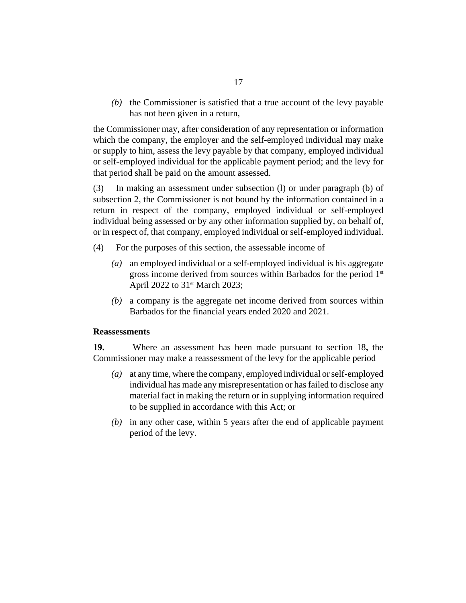<span id="page-16-0"></span> $(t)$  the Commissioner is satisfied that a true account of the levy payable has not been given in a return,

the Commissioner may, after consideration of any representation or information which the company, the employer and the self-employed individual may make or supply to him, assess the levy payable by that company, employed individual or self-employed individual for the applicable payment period; and the levy for that period shall be paid on the amount assessed.

In making an assessment under subsection (l) or under paragraph (b) of subsection 2, the Commissioner is not bound by the information contained in a return in respect of the company, employed individual or self-employed individual being assessed or by any other information supplied by, on behalf of, or in respect of, that company, employed individual or self-employed individual. (3)

- For the purposes of this section, the assessable income of (4)
	- an employed individual or a self-employed individual is his aggregate *(a)* gross income derived from sources within Barbados for the period 1<sup>st</sup> April 2022 to 31<sup>st</sup> March 2023;
	- a company is the aggregate net income derived from sources within *(b)* Barbados for the financial years ended 2020 and 2021.

#### **Reassessments**

Where an assessment has been made pursuant to section 18**,** the Commissioner may make a reassessment of the levy for the applicable period **19.**

- at any time, where the company, employed individual or self-employed *(a)* individual has made any misrepresentation or has failed to disclose any material fact in making the return or in supplying information required to be supplied in accordance with this Act; or
- (b) in any other case, within 5 years after the end of applicable payment period of the levy.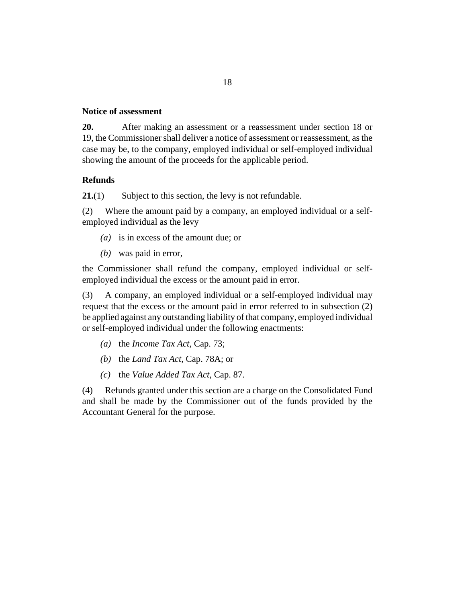#### <span id="page-17-0"></span>**Notice of assessment**

After making an assessment or a reassessment under section 18 or 19, the Commissioner shall deliver a notice of assessment or reassessment, as the case may be, to the company, employed individual or self-employed individual showing the amount of the proceeds for the applicable period. **20.**

#### **Refunds**

Subject to this section, the levy is not refundable. **21.**(1)

Where the amount paid by a company, an employed individual or a selfemployed individual as the levy (2)

- (a) is in excess of the amount due; or
- was paid in error, *(b)*

the Commissioner shall refund the company, employed individual or selfemployed individual the excess or the amount paid in error.

A company, an employed individual or a self-employed individual may request that the excess or the amount paid in error referred to in subsection (2) be applied against any outstanding liability of that company, employed individual or self-employed individual under the following enactments: (3)

- (a) the *[Income Tax Act](http://barbadosparliament-laws.com/en/showdoc/cs/73)*, Cap. 73;
- (b) the *[Land Tax Act](http://barbadosparliament-laws.com/en/showdoc/cs/78A)*, Cap. 78A; or
- the *[Value Added Tax Act](http://barbadosparliament-laws.com/en/showdoc/cs/87)*, Cap. 87. *(c)*

Refunds granted under this section are a charge on the Consolidated Fund and shall be made by the Commissioner out of the funds provided by the Accountant General for the purpose. (4)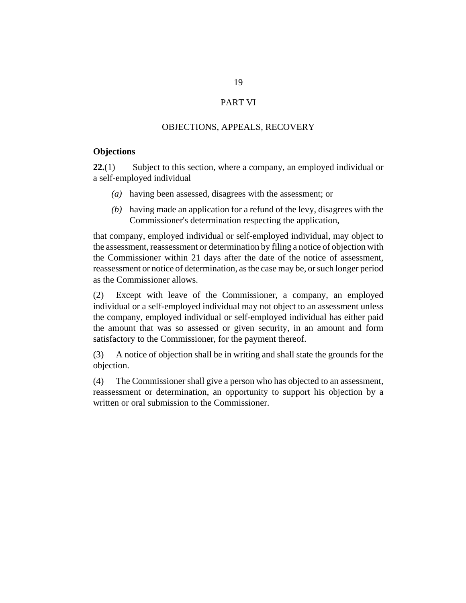### PART VI

#### OBJECTIONS, APPEALS, RECOVERY

### <span id="page-18-0"></span>**Objections**

Subject to this section, where a company, an employed individual or a self-employed individual **22.**(1)

- having been assessed, disagrees with the assessment; or *(a)*
- having made an application for a refund of the levy, disagrees with the *(b)* Commissioner's determination respecting the application,

that company, employed individual or self-employed individual, may object to the assessment, reassessment or determination by filing a notice of objection with the Commissioner within 21 days after the date of the notice of assessment, reassessment or notice of determination, as the case may be, or such longer period as the Commissioner allows.

Except with leave of the Commissioner, a company, an employed individual or a self-employed individual may not object to an assessment unless the company, employed individual or self-employed individual has either paid the amount that was so assessed or given security, in an amount and form satisfactory to the Commissioner, for the payment thereof. (2)

A notice of objection shall be in writing and shall state the grounds for the objection. (3)

The Commissioner shall give a person who has objected to an assessment, reassessment or determination, an opportunity to support his objection by a written or oral submission to the Commissioner. (4)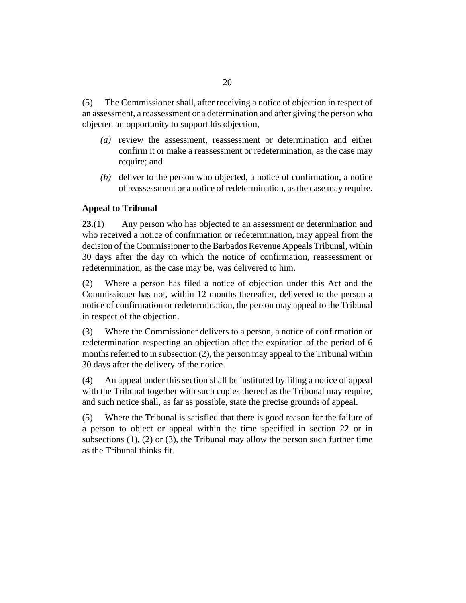<span id="page-19-0"></span>The Commissioner shall, after receiving a notice of objection in respect of an assessment, a reassessment or a determination and after giving the person who objected an opportunity to support his objection, (5)

- (a) review the assessment, reassessment or determination and either confirm it or make a reassessment or redetermination, as the case may require; and
- (b) deliver to the person who objected, a notice of confirmation, a notice of reassessment or a notice of redetermination, as the case may require.

## **Appeal to Tribunal**

Any person who has objected to an assessment or determination and who received a notice of confirmation or redetermination, may appeal from the decision of the Commissioner to the Barbados Revenue Appeals Tribunal, within 30 days after the day on which the notice of confirmation, reassessment or redetermination, as the case may be, was delivered to him. **23.**(1)

Where a person has filed a notice of objection under this Act and the Commissioner has not, within 12 months thereafter, delivered to the person a notice of confirmation or redetermination, the person may appeal to the Tribunal in respect of the objection. (2)

Where the Commissioner delivers to a person, a notice of confirmation or redetermination respecting an objection after the expiration of the period of 6 months referred to in subsection (2), the person may appeal to the Tribunal within 30 days after the delivery of the notice. (3)

An appeal under this section shall be instituted by filing a notice of appeal with the Tribunal together with such copies thereof as the Tribunal may require, and such notice shall, as far as possible, state the precise grounds of appeal. (4)

Where the Tribunal is satisfied that there is good reason for the failure of a person to object or appeal within the time specified in section 22 or in subsections  $(1)$ ,  $(2)$  or  $(3)$ , the Tribunal may allow the person such further time as the Tribunal thinks fit. (5)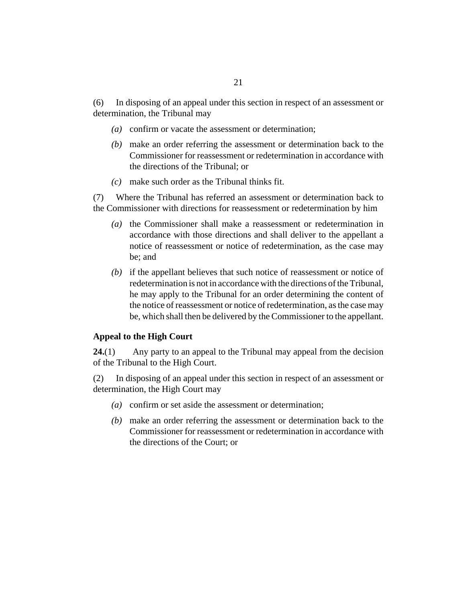<span id="page-20-0"></span>In disposing of an appeal under this section in respect of an assessment or determination, the Tribunal may (6)

- (a) confirm or vacate the assessment or determination;
- make an order referring the assessment or determination back to the *(b)* Commissioner for reassessment or redetermination in accordance with the directions of the Tribunal; or
- make such order as the Tribunal thinks fit. *(c)*

Where the Tribunal has referred an assessment or determination back to the Commissioner with directions for reassessment or redetermination by him (7)

- (a) the Commissioner shall make a reassessment or redetermination in accordance with those directions and shall deliver to the appellant a notice of reassessment or notice of redetermination, as the case may be; and
- $(b)$  if the appellant believes that such notice of reassessment or notice of redetermination is not in accordance with the directions of the Tribunal, he may apply to the Tribunal for an order determining the content of the notice of reassessment or notice of redetermination, as the case may be, which shall then be delivered by the Commissioner to the appellant.

#### **Appeal to the High Court**

Any party to an appeal to the Tribunal may appeal from the decision of the Tribunal to the High Court. **24.**(1)

In disposing of an appeal under this section in respect of an assessment or determination, the High Court may (2)

- (a) confirm or set aside the assessment or determination;
- make an order referring the assessment or determination back to the *(b)* Commissioner for reassessment or redetermination in accordance with the directions of the Court; or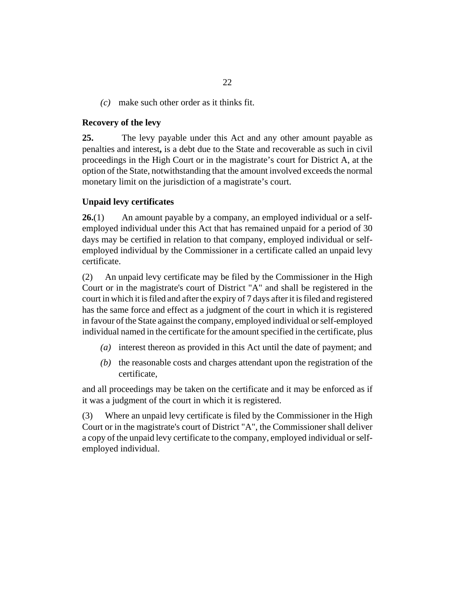<span id="page-21-0"></span>make such other order as it thinks fit. *(c)*

#### **Recovery of the levy**

The levy payable under this Act and any other amount payable as penalties and interest**,** is a debt due to the State and recoverable as such in civil proceedings in the High Court or in the magistrate's court for District A, at the option of the State, notwithstanding that the amount involved exceeds the normal monetary limit on the jurisdiction of a magistrate's court. **25.**

### **Unpaid levy certificates**

An amount payable by a company, an employed individual or a selfemployed individual under this Act that has remained unpaid for a period of 30 days may be certified in relation to that company, employed individual or selfemployed individual by the Commissioner in a certificate called an unpaid levy certificate. **26.**(1)

An unpaid levy certificate may be filed by the Commissioner in the High Court or in the magistrate's court of District "A" and shall be registered in the court in which it is filed and after the expiry of 7 days after it is filed and registered has the same force and effect as a judgment of the court in which it is registered in favour of the State against the company, employed individual or self-employed individual named in the certificate for the amount specified in the certificate, plus (2)

- interest thereon as provided in this Act until the date of payment; and *(a)*
- $(b)$  the reasonable costs and charges attendant upon the registration of the certificate,

and all proceedings may be taken on the certificate and it may be enforced as if it was a judgment of the court in which it is registered.

Where an unpaid levy certificate is filed by the Commissioner in the High Court or in the magistrate's court of District "A", the Commissioner shall deliver a copy of the unpaid levy certificate to the company, employed individual or selfemployed individual. (3)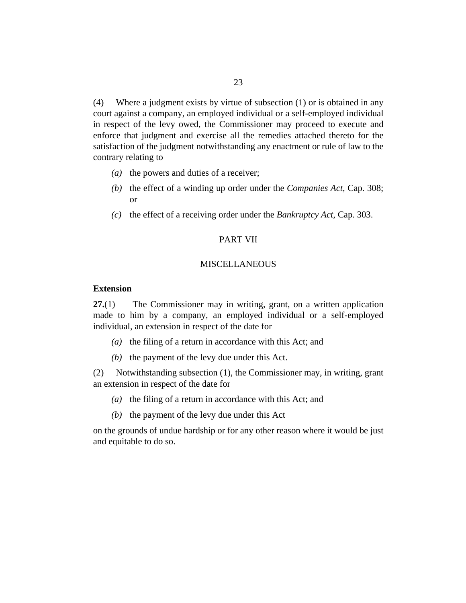<span id="page-22-0"></span>Where a judgment exists by virtue of subsection (1) or is obtained in any court against a company, an employed individual or a self-employed individual in respect of the levy owed, the Commissioner may proceed to execute and enforce that judgment and exercise all the remedies attached thereto for the satisfaction of the judgment notwithstanding any enactment or rule of law to the contrary relating to (4)

- ( $a$ ) the powers and duties of a receiver;
- (b) the effect of a winding up order under the *[Companies Act](http://barbadosparliament-laws.com/en/showdoc/cs/308)*, Cap. 308; or
- (c) the effect of a receiving order under the *[Bankruptcy Act](http://barbadosparliament-laws.com/en/showdoc/cs/303)*, Cap. 303.

#### PART VII

### **MISCELLANEOUS**

### **Extension**

The Commissioner may in writing, grant, on a written application made to him by a company, an employed individual or a self-employed individual, an extension in respect of the date for **27.**(1)

- (a) the filing of a return in accordance with this Act; and
- $(b)$  the payment of the levy due under this Act.

Notwithstanding subsection (1), the Commissioner may, in writing, grant an extension in respect of the date for (2)

- (a) the filing of a return in accordance with this Act; and
- $(b)$  the payment of the levy due under this Act

on the grounds of undue hardship or for any other reason where it would be just and equitable to do so.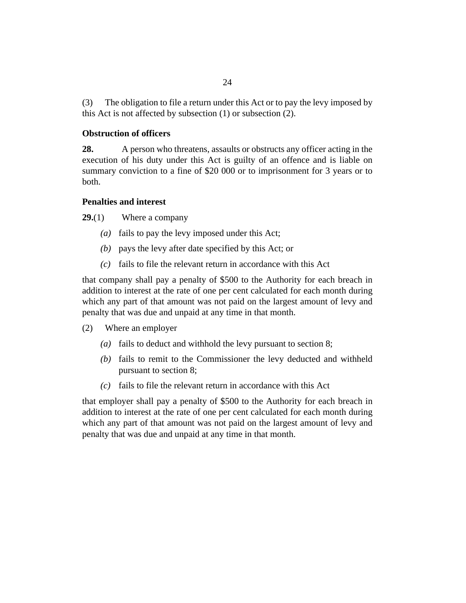<span id="page-23-0"></span>The obligation to file a return under this Act or to pay the levy imposed by this Act is not affected by subsection (1) or subsection (2). (3)

### **Obstruction of officers**

A person who threatens, assaults or obstructs any officer acting in the execution of his duty under this Act is guilty of an offence and is liable on summary conviction to a fine of \$20 000 or to imprisonment for 3 years or to both. **28.**

### **Penalties and interest**

Where a company **29.**(1)

- fails to pay the levy imposed under this Act; *(a)*
- (b) pays the levy after date specified by this Act; or
- $\alpha$  fails to file the relevant return in accordance with this Act

that company shall pay a penalty of \$500 to the Authority for each breach in addition to interest at the rate of one per cent calculated for each month during which any part of that amount was not paid on the largest amount of levy and penalty that was due and unpaid at any time in that month.

- Where an employer (2)
	- fails to deduct and withhold the levy pursuant to section 8; *(a)*
	- (b) fails to remit to the Commissioner the levy deducted and withheld pursuant to section 8;
	- $\alpha$  fails to file the relevant return in accordance with this Act

that employer shall pay a penalty of \$500 to the Authority for each breach in addition to interest at the rate of one per cent calculated for each month during which any part of that amount was not paid on the largest amount of levy and penalty that was due and unpaid at any time in that month.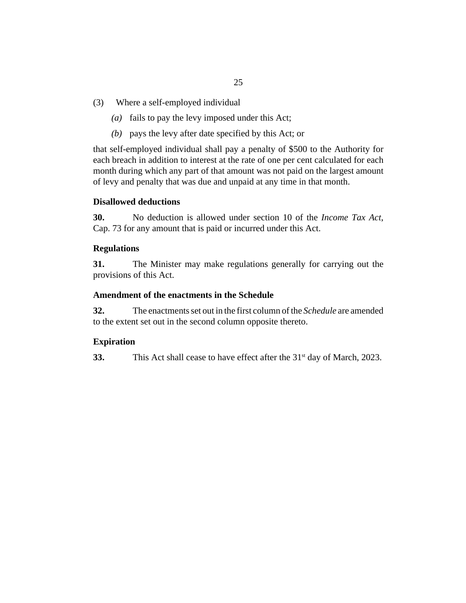- <span id="page-24-0"></span>Where a self-employed individual (3)
	- (a) fails to pay the levy imposed under this Act;
	- (b) pays the levy after date specified by this Act; or

that self-employed individual shall pay a penalty of \$500 to the Authority for each breach in addition to interest at the rate of one per cent calculated for each month during which any part of that amount was not paid on the largest amount of levy and penalty that was due and unpaid at any time in that month.

### **Disallowed deductions**

No deduction is allowed under section 10 of the *[Income Tax Act](http://barbadosparliament-laws.com/en/showdoc/cs/73)*, [Cap. 73](http://barbadosparliament-laws.com/en/showdoc/cs/73) for any amount that is paid or incurred under this Act. **30.**

### **Regulations**

The Minister may make regulations generally for carrying out the provisions of this Act. **31.**

### **Amendment of the enactments in the Schedule**

The enactments set out in the first column of the *Schedule* are amended to the extent set out in the second column opposite thereto. **32.**

### **Expiration**

This Act shall cease to have effect after the  $31<sup>st</sup>$  day of March, 2023. **33.**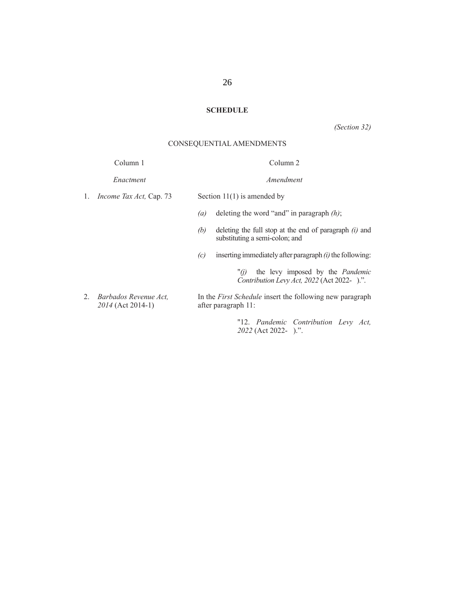# **SCHEDULE**

*(Section 32)*

# CONSEQUENTIAL AMENDMENTS

|    | Column 1                                   |                                                                                 | Column <sub>2</sub>                                                                              |
|----|--------------------------------------------|---------------------------------------------------------------------------------|--------------------------------------------------------------------------------------------------|
|    | Enactment                                  |                                                                                 | Amendment                                                                                        |
| 1. | <i>Income Tax Act</i> , Cap. 73            | Section $11(1)$ is amended by                                                   |                                                                                                  |
|    |                                            | (a)                                                                             | deleting the word "and" in paragraph $(h)$ ;                                                     |
|    |                                            | (b)                                                                             | deleting the full stop at the end of paragraph $(i)$ and<br>substituting a semi-colon; and       |
|    |                                            | (c)                                                                             | inserting immediately after paragraph $(i)$ the following:                                       |
|    |                                            |                                                                                 | the levy imposed by the <i>Pandemic</i><br>" $(i)$<br>Contribution Levy Act, 2022 (Act 2022-).". |
| 2. | Barbados Revenue Act.<br>2014 (Act 2014-1) | In the First Schedule insert the following new paragraph<br>after paragraph 11: |                                                                                                  |
|    |                                            |                                                                                 | "12. Pandemic Contribution Levy Act,                                                             |

 *2022* (Act 2022- ).".